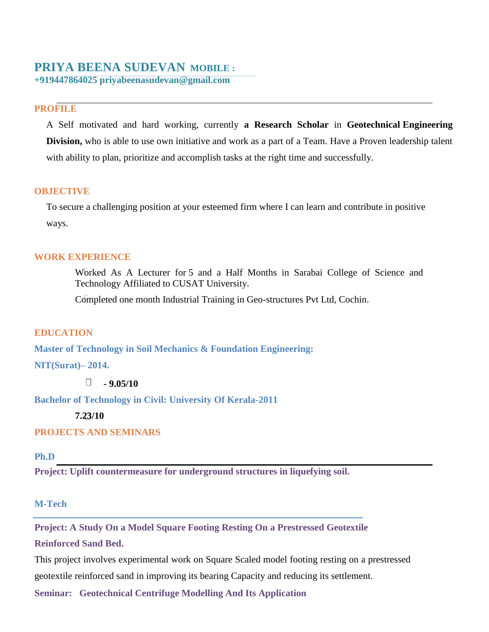# **PRIYA BEENA SUDEVAN MOBILE :**

**+919447864025 priyabeenasudevan@gmail.com**

## **PROFILE**

A Self motivated and hard working, currently **a Research Scholar** in **Geotechnical Engineering Division,** who is able to use own initiative and work as a part of a Team. Have a Proven leadership talent with ability to plan, prioritize and accomplish tasks at the right time and successfully.

### **OBJECTIVE**

To secure a challenging position at your esteemed firm where I can learn and contribute in positive ways.

### **WORK EXPERIENCE**

Worked As A Lecturer for 5 and a Half Months in Sarabai College of Science and Technology Affiliated to CUSAT University.

Completed one month Industrial Training in Geo-structures Pvt Ltd, Cochin.

#### **EDUCATION**

**Master of Technology in Soil Mechanics & Foundation Engineering:** 

**NIT(Surat)– 2014.**

 $\Box$  **-** 9.05/10

**Bachelor of Technology in Civil: University Of Kerala-2011**

**7.23/10**

## **PROJECTS AND SEMINARS**

**Ph.D**

**Project: Uplift countermeasure for underground structures in liquefying soil.**

#### **M-Tech**

**Project: A Study On a Model Square Footing Resting On a Prestressed Geotextile**

**Reinforced Sand Bed.**

This project involves experimental work on Square Scaled model footing resting on a prestressed geotextile reinforced sand in improving its bearing Capacity and reducing its settlement.

**Seminar: Geotechnical Centrifuge Modelling And Its Application**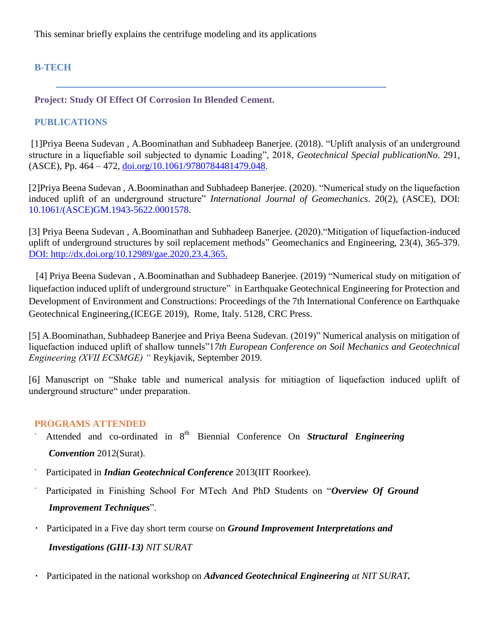This seminar briefly explains the centrifuge modeling and its applications

## **B-TECH**

**Project: Study Of Effect Of Corrosion In Blended Cement.** 

## **PUBLICATIONS**

[1]Priya Beena Sudevan , A.Boominathan and Subhadeep Banerjee. (2018). "Uplift analysis of an underground structure in a liquefiable soil subjected to dynamic Loading", 2018, *Geotechnical Special publicationNo*. 291, (ASCE), Pp. 464 – 472, [doi.org/10.1061/9780784481479.048.](https://doi.org/10.1061/9780784481479.048)

[2]Priya Beena Sudevan , A.Boominathan and Subhadeep Banerjee. (2020). "Numerical study on the liquefaction induced uplift of an underground structure" *International Journal of Geomechanics*. 20(2), (ASCE), DOI: 10.1061/(ASCE)GM.1943-5622.0001578.

[3] Priya Beena Sudevan , A.Boominathan and Subhadeep Banerjee. (2020)."Mitigation of liquefaction-induced uplift of underground structures by soil replacement methods" Geomechanics and Engineering, 23(4), 365-379. DOI: http://dx.doi.org/10.12989/gae.2020.23.4.365.

 [4] Priya Beena Sudevan , A.Boominathan and Subhadeep Banerjee. (2019) "Numerical study on mitigation of liquefaction induced uplift of underground structure" in Earthquake Geotechnical Engineering for Protection and Development of Environment and Constructions: Proceedings of the 7th International Conference on Earthquake Geotechnical Engineering,(ICEGE 2019), Rome, Italy. 5128, CRC Press.

[5] A.Boominathan, Subhadeep Banerjee and Priya Beena Sudevan. (2019)" Numerical analysis on mitigation of liquefaction induced uplift of shallow tunnels"1*7th European Conference on Soil Mechanics and Geotechnical Engineering (XVII ECSMGE) "* Reykjavik, September 2019.

[6] Manuscript on "Shake table and numerical analysis for mitiagtion of liquefaction induced uplift of underground structure" under preparation.

## **PROGRAMS ATTENDED**

- Attended and co-ordinated in 8<sup>th</sup> Biennial Conference On *Structural Engineering Convention* 2012(Surat).
- Participated in *Indian Geotechnical Conference* 2013(IIT Roorkee).
- Participated in Finishing School For MTech And PhD Students on "*Overview Of Ground Improvement Techniques*".
- Participated in a Five day short term course on *Ground Improvement Interpretations and*  $\bullet$ *Investigations (GIII-13) NIT SURAT*
- Participated in the national workshop on *Advanced Geotechnical Engineering at NIT SURAT.*